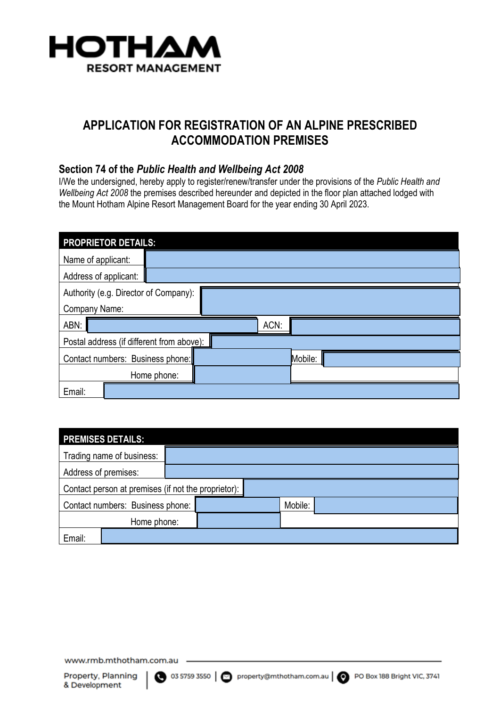

# **APPLICATION FOR REGISTRATION OF AN ALPINE PRESCRIBED ACCOMMODATION PREMISES**

#### **Section 74 of the** *Public Health and Wellbeing Act 2008*

I/We the undersigned, hereby apply to register/renew/transfer under the provisions of the *Public Health and Wellbeing Act 2008* the premises described hereunder and depicted in the floor plan attached lodged with the Mount Hotham Alpine Resort Management Board for the year ending 30 April 2023.

| <b>PROPRIETOR DETAILS:</b>                |             |  |         |  |  |  |
|-------------------------------------------|-------------|--|---------|--|--|--|
| Name of applicant:                        |             |  |         |  |  |  |
| Address of applicant:                     |             |  |         |  |  |  |
| Authority (e.g. Director of Company):     |             |  |         |  |  |  |
| Company Name:                             |             |  |         |  |  |  |
| ABN:                                      |             |  | ACN:    |  |  |  |
| Postal address (if different from above): |             |  |         |  |  |  |
| Contact numbers: Business phone:          |             |  | Mobile: |  |  |  |
|                                           | Home phone: |  |         |  |  |  |
| Email:                                    |             |  |         |  |  |  |

| <b>PREMISES DETAILS:</b>                            |                           |  |         |  |  |
|-----------------------------------------------------|---------------------------|--|---------|--|--|
|                                                     | Trading name of business: |  |         |  |  |
| Address of premises:                                |                           |  |         |  |  |
| Contact person at premises (if not the proprietor): |                           |  |         |  |  |
| Contact numbers: Business phone:                    |                           |  | Mobile: |  |  |
|                                                     | Home phone:               |  |         |  |  |
| Email:                                              |                           |  |         |  |  |

www.rmb.mthotham.com.au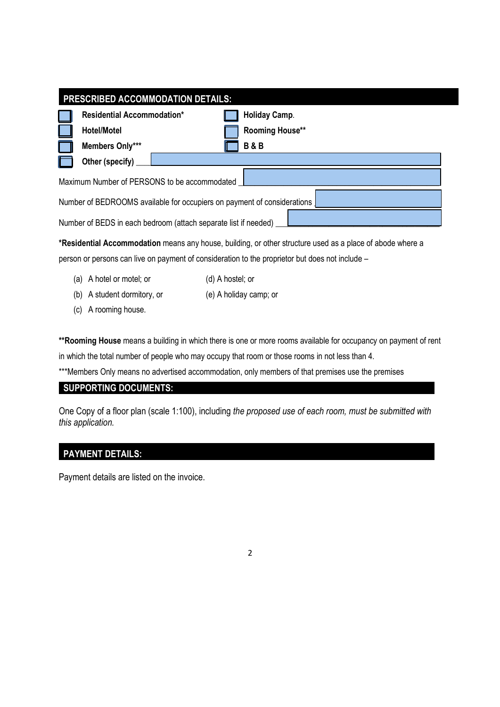| <b>PRESCRIBED ACCOMMODATION DETAILS:</b>                                |                                   |  |  |                        |  |  |
|-------------------------------------------------------------------------|-----------------------------------|--|--|------------------------|--|--|
|                                                                         | <b>Residential Accommodation*</b> |  |  | Holiday Camp.          |  |  |
|                                                                         | <b>Hotel/Motel</b>                |  |  | <b>Rooming House**</b> |  |  |
|                                                                         | Members Only***                   |  |  | <b>B&amp;B</b>         |  |  |
|                                                                         | Other (specify)                   |  |  |                        |  |  |
| Maximum Number of PERSONS to be accommodated                            |                                   |  |  |                        |  |  |
| Number of BEDROOMS available for occupiers on payment of considerations |                                   |  |  |                        |  |  |
| Number of BEDS in each bedroom (attach separate list if needed)         |                                   |  |  |                        |  |  |
|                                                                         |                                   |  |  |                        |  |  |

**\*Residential Accommodation** means any house, building, or other structure used as a place of abode where a person or persons can live on payment of consideration to the proprietor but does not include –

- (a) A hotel or motel; or (d) A hostel; or
- (b) A student dormitory, or (e) A holiday camp; or
- (c) A rooming house.

**\*\*Rooming House** means a building in which there is one or more rooms available for occupancy on payment of rent in which the total number of people who may occupy that room or those rooms in not less than 4.

\*\*\*Members Only means no advertised accommodation, only members of that premises use the premises

### **SUPPORTING DOCUMENTS:**

One Copy of a floor plan (scale 1:100), including *the proposed use of each room, must be submitted with this application.*

2

### **PAYMENT DETAILS:**

Payment details are listed on the invoice.